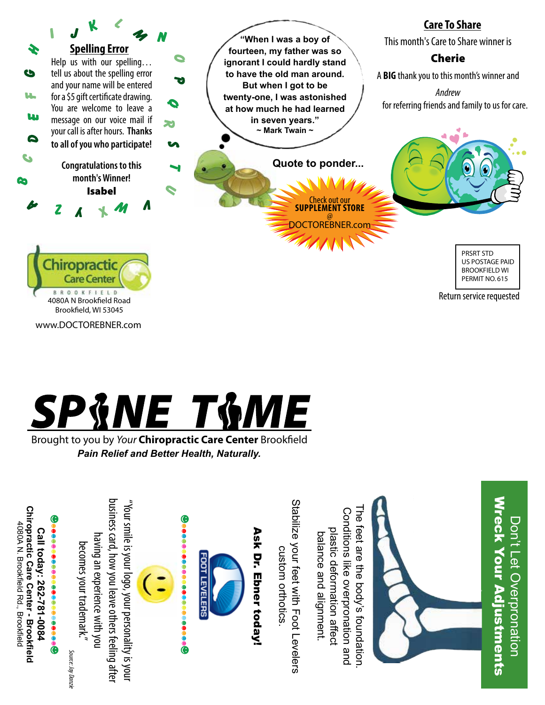

www.DOCTOREBNER.com



Brought to you by *Your* Chiropractic Care Center Brookfield *Pain Relief and Better Health, Naturally.*

Stabilize your feet with Foot Levelers business card, how you leave others teeling afte business card, how you leave others feeling after "Your smile is your logo, your personality is your Stabilize your feet with Foot Levelers "Your smile is your logo, your personality is youn The feet are the body's foundation. **Chiropractic Care Center - Brookfield Chiropractic Care Center - Brookfield** Conditions like overpronation and Conditions like overpronation and he feet are the body's foundation 4080A N. Brookfield Rd., Brookfield 4080A N. Brookfield Rd., Brookfield Call today: 262-781-0084 plastic deformation affect Ask Dr. Ebner today! Ask Dr. Ebner today!plastic deformation affect **Call today: 262-781-0084** balance and alignment balance and alignment. having an experience with you having an experience with you becomes your trademark." becomes your trademark." custom orthotics custom orthotics. *Source: Jay Danzie* Source: Jay Danzie